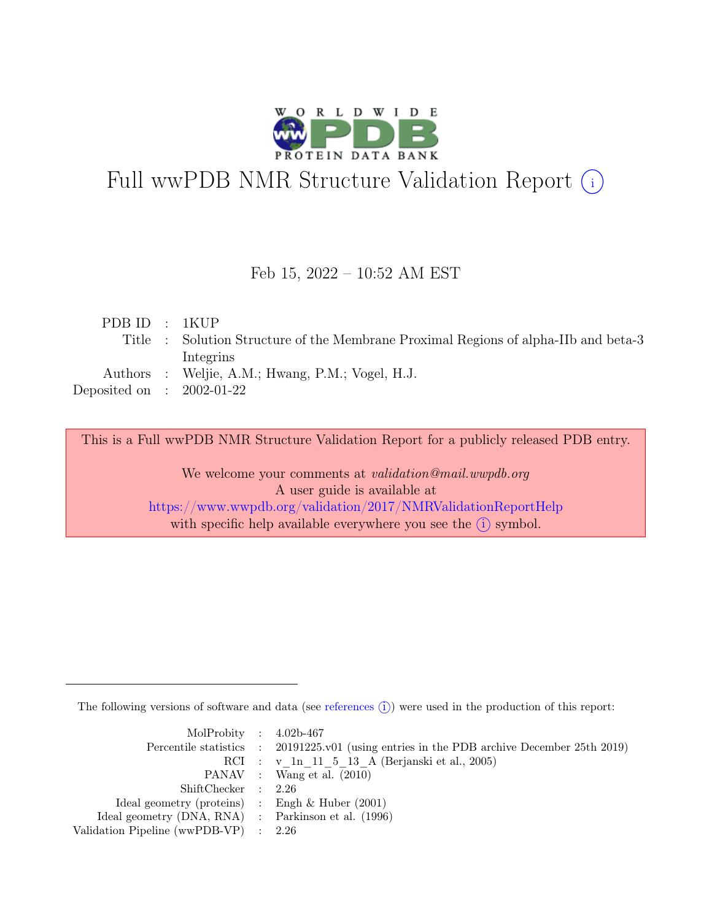

# Full wwPDB NMR Structure Validation Report (i)

#### Feb 15, 2022 – 10:52 AM EST

| PDBID : IKUP                |                                                                                     |
|-----------------------------|-------------------------------------------------------------------------------------|
|                             | Title : Solution Structure of the Membrane Proximal Regions of alpha-IIb and beta-3 |
|                             | Integrins                                                                           |
|                             | Authors : Weljie, A.M.; Hwang, P.M.; Vogel, H.J.                                    |
| Deposited on : $2002-01-22$ |                                                                                     |
|                             |                                                                                     |

This is a Full wwPDB NMR Structure Validation Report for a publicly released PDB entry.

We welcome your comments at *validation@mail.wwpdb.org* A user guide is available at <https://www.wwpdb.org/validation/2017/NMRValidationReportHelp> with specific help available everywhere you see the  $(i)$  symbol.

The following versions of software and data (see [references](https://www.wwpdb.org/validation/2017/NMRValidationReportHelp#references)  $\hat{I}$ ) were used in the production of this report:

| MolProbity : $4.02b-467$                            |                                                                                            |
|-----------------------------------------------------|--------------------------------------------------------------------------------------------|
|                                                     | Percentile statistics : 20191225.v01 (using entries in the PDB archive December 25th 2019) |
|                                                     | RCI : v 1n 11 5 13 A (Berjanski et al., 2005)                                              |
|                                                     | PANAV : Wang et al. (2010)                                                                 |
| ShiftChecker : 2.26                                 |                                                                                            |
| Ideal geometry (proteins) : Engh $\&$ Huber (2001)  |                                                                                            |
| Ideal geometry (DNA, RNA) : Parkinson et al. (1996) |                                                                                            |
| Validation Pipeline (wwPDB-VP) $\therefore$ 2.26    |                                                                                            |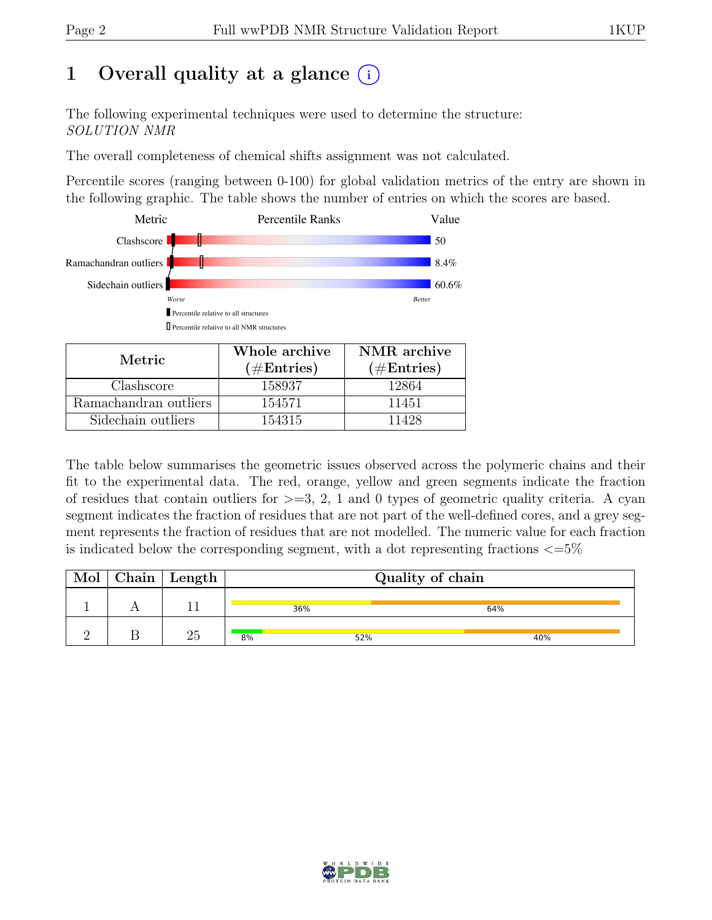## 1 Overall quality at a glance  $(i)$

The following experimental techniques were used to determine the structure: SOLUTION NMR

The overall completeness of chemical shifts assignment was not calculated.

Percentile scores (ranging between 0-100) for global validation metrics of the entry are shown in the following graphic. The table shows the number of entries on which the scores are based.



| Metric.               | Whole archive<br>$(\#Entries)$ | NMR archive<br>$(\#Entries)$ |
|-----------------------|--------------------------------|------------------------------|
| Clashscore            | 158937                         | 12864                        |
| Ramachandran outliers | 154571                         | 11451                        |
| Sidechain outliers    | 154315                         | 11428                        |

The table below summarises the geometric issues observed across the polymeric chains and their fit to the experimental data. The red, orange, yellow and green segments indicate the fraction of residues that contain outliers for  $>=$  3, 2, 1 and 0 types of geometric quality criteria. A cyan segment indicates the fraction of residues that are not part of the well-defined cores, and a grey segment represents the fraction of residues that are not modelled. The numeric value for each fraction is indicated below the corresponding segment, with a dot representing fractions  $\langle=5\%$ 

|  | $Chain$ Length | Quality of chain |     |     |  |
|--|----------------|------------------|-----|-----|--|
|  |                | 36%              |     | 64% |  |
|  |                | 8%               | 52% | 40% |  |

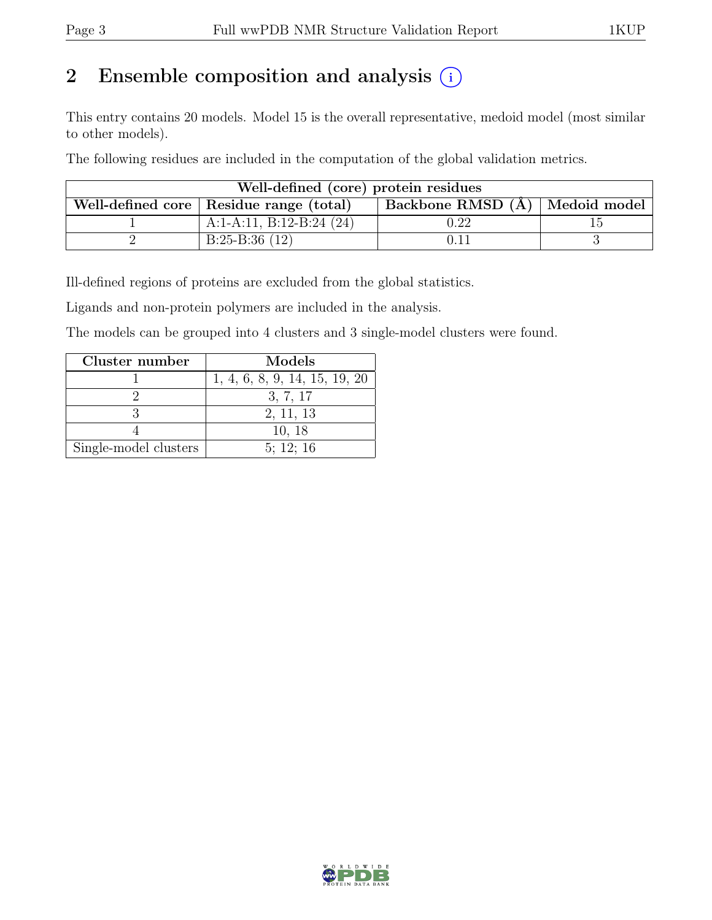## 2 Ensemble composition and analysis  $(i)$

This entry contains 20 models. Model 15 is the overall representative, medoid model (most similar to other models).

The following residues are included in the computation of the global validation metrics.

| Well-defined (core) protein residues |                                           |                                  |  |  |  |
|--------------------------------------|-------------------------------------------|----------------------------------|--|--|--|
|                                      | Well-defined core   Residue range (total) | Backbone RMSD (A)   Medoid model |  |  |  |
|                                      | A:1-A:11, B:12-B:24 $(24)$                | $0.22\,$                         |  |  |  |
|                                      | $B:25-B:36(12)$                           | 0.11                             |  |  |  |

Ill-defined regions of proteins are excluded from the global statistics.

Ligands and non-protein polymers are included in the analysis.

The models can be grouped into 4 clusters and 3 single-model clusters were found.

| Cluster number        | Models                        |
|-----------------------|-------------------------------|
|                       | 1, 4, 6, 8, 9, 14, 15, 19, 20 |
|                       | 3, 7, 17                      |
|                       | 2, 11, 13                     |
|                       | 10, 18                        |
| Single-model clusters | 5: 12: 16                     |

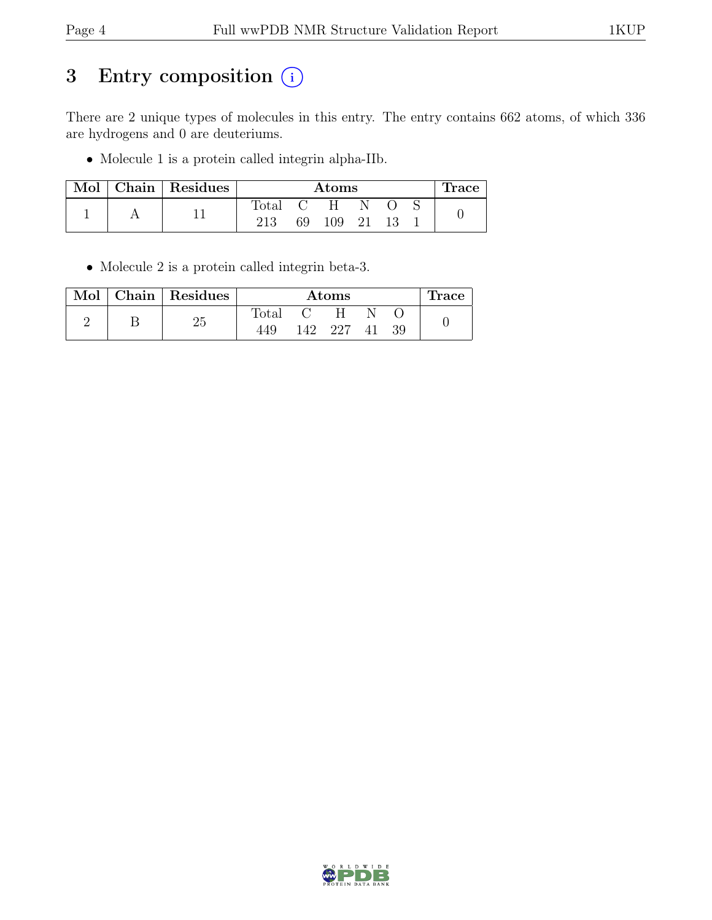## 3 Entry composition  $(i)$

There are 2 unique types of molecules in this entry. The entry contains 662 atoms, of which 336 are hydrogens and 0 are deuteriums.

• Molecule 1 is a protein called integrin alpha-IIb.

| Mol | Chain Residues | Atoms          |    |     |    | $_{\rm \bf 1 TACC}$ |  |
|-----|----------------|----------------|----|-----|----|---------------------|--|
|     |                | $\text{Total}$ |    | н   |    |                     |  |
|     |                | 213            | 69 | 109 | 21 |                     |  |

• Molecule 2 is a protein called integrin beta-3.

| Mol | Chain   Residues | Atoms          |     |      |  | <b>Trace</b> |  |
|-----|------------------|----------------|-----|------|--|--------------|--|
|     | າະ               | $\text{Total}$ |     |      |  |              |  |
|     | ∠ປ               | 449            | 142 | -227 |  | 39           |  |

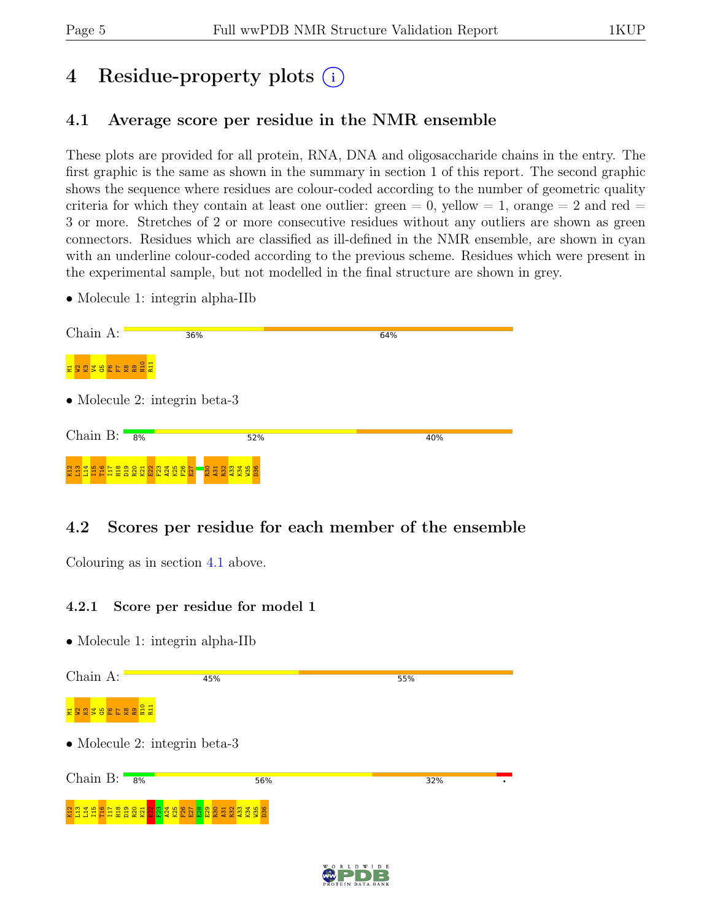## 4 Residue-property plots (i)

## <span id="page-4-0"></span>4.1 Average score per residue in the NMR ensemble

These plots are provided for all protein, RNA, DNA and oligosaccharide chains in the entry. The first graphic is the same as shown in the summary in section 1 of this report. The second graphic shows the sequence where residues are colour-coded according to the number of geometric quality criteria for which they contain at least one outlier: green  $= 0$ , yellow  $= 1$ , orange  $= 2$  and red  $=$ 3 or more. Stretches of 2 or more consecutive residues without any outliers are shown as green connectors. Residues which are classified as ill-defined in the NMR ensemble, are shown in cyan with an underline colour-coded according to the previous scheme. Residues which were present in the experimental sample, but not modelled in the final structure are shown in grey.

• Molecule 1: integrin alpha-IIb

| Chain A:                      | 36%              | 64% |
|-------------------------------|------------------|-----|
| ESEPEFEREE                    |                  |     |
| • Molecule 2: integrin beta-3 |                  |     |
| Chain B: $\blacksquare$<br>8% | 52%              | 40% |
| CONTECTESSORIST               | <b>1</b> 8223388 |     |

## 4.2 Scores per residue for each member of the ensemble

Colouring as in section [4.1](#page-4-0) above.

#### 4.2.1 Score per residue for model 1

| Chain A:                      | 45% | 55% |
|-------------------------------|-----|-----|
| N10<br>R11<br>382522<br>E 2 2 |     |     |
| • Molecule 2: integrin beta-3 |     |     |
| Chain $B:$<br>8%              | 56% | 32% |
|                               |     |     |

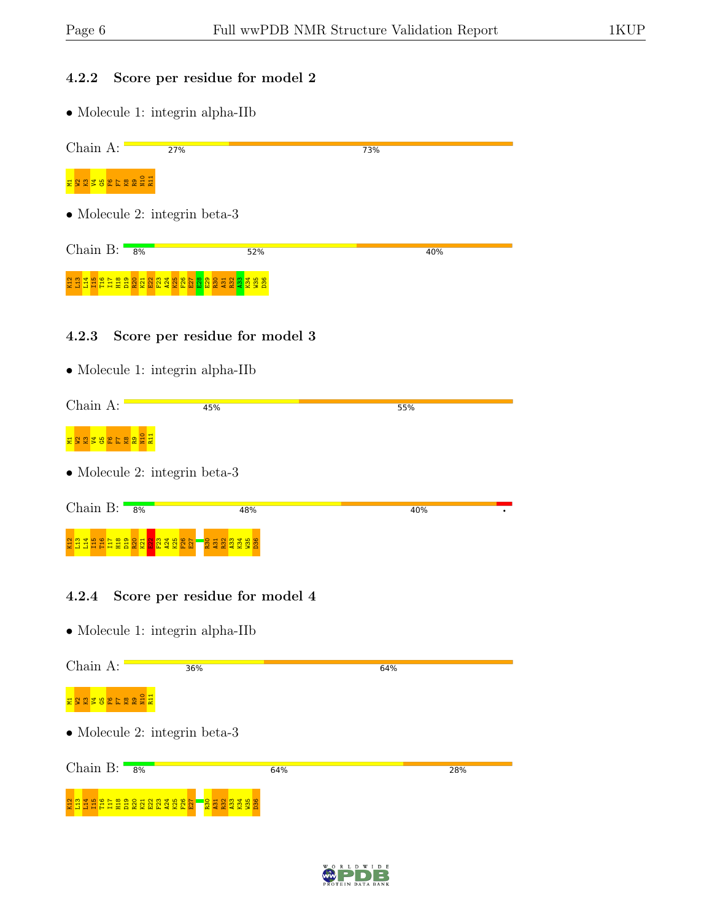#### 4.2.2 Score per residue for model 2

• Molecule 1: integrin alpha-IIb

| Chain A:                      | 27%                                                                                                                                                                                          | 73% |
|-------------------------------|----------------------------------------------------------------------------------------------------------------------------------------------------------------------------------------------|-----|
| <b>NASA REFERENCE</b>         |                                                                                                                                                                                              |     |
| • Molecule 2: integrin beta-3 |                                                                                                                                                                                              |     |
| Chain B: $8\%$                | 52%                                                                                                                                                                                          | 40% |
| <b>PIT</b><br>뵵               | ្អ្មី ដឹង ប្តូន ដឹង ប្តូន ដឹង ប្តូន ដឹង ប្តូន ដឹង ប្តូន ដឹង ប្អូន ដឹង ប្អូន ដឹង ប្អូន ដឹង ប្អូន ដឹ<br>ដឹង ដឹង ប្តូន ដឹង ប្អូន ដឹង ប្អូន ដឹង ប្អូន ដឹង ប្អូន ដឹង ប្អូន ដឹង ប្អូន ដឹង ប្អូន ដឹ |     |
| 4.2.3                         | Score per residue for model 3                                                                                                                                                                |     |

• Molecule 1: integrin alpha-IIb

| Chain A:                      | 45% | 55% |  |
|-------------------------------|-----|-----|--|
| ERGZBEFSBEH                   |     |     |  |
| • Molecule 2: integrin beta-3 |     |     |  |
| Chain B: $8\%$                | 48% | 40% |  |
|                               |     |     |  |

#### 4.2.4 Score per residue for model 4

• Molecule 1: integrin alpha-IIb

Chain A: 36% 64% ក្នុ<mark>ង ក្នុង ក្នុង</mark> ក្នុង  $\bullet$  Molecule 2: integrin beta-3 Chain B:  $\frac{1}{8\%}$ 64% 28% 2 1 1 1 1 1 1 1 2 2 2 3 4 5 4 5<br>2 1 1 1 1 1 1 1 2 2 2 3 4 5 4 5  $\frac{8}{25}$  $\overline{27}$  $\frac{8}{2}$ A31  $\frac{2}{2}$  $\frac{33}{4}$  $K_{34}$  $\frac{35}{5}$ D36

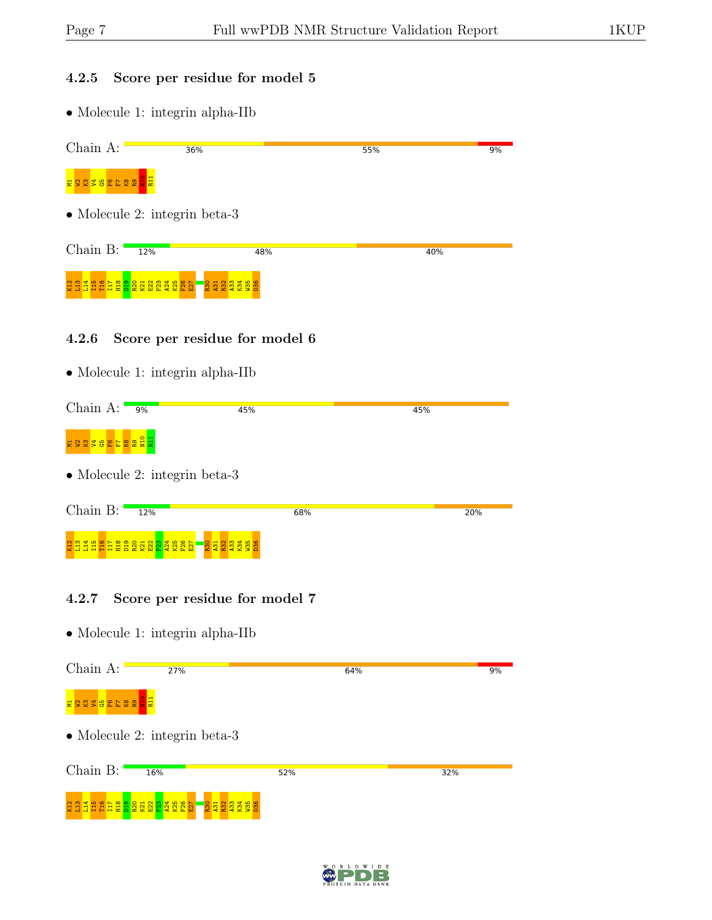#### 4.2.5 Score per residue for model 5

• Molecule 1: integrin alpha-IIb

| Chain A:          | 36%                                                                                                                   |                         | 55% | 9% |
|-------------------|-----------------------------------------------------------------------------------------------------------------------|-------------------------|-----|----|
| 382522<br>22<br>븢 | 일률                                                                                                                    |                         |     |    |
|                   | • Molecule 2: integrin beta-3                                                                                         |                         |     |    |
| Chain B:          | 12%                                                                                                                   | 48%                     | 40% |    |
|                   | <b>Galing Sandary Sandary Sandary Sandary Sandary Sandary Sandary Sandary Sandary Sandary Sandary Sandary Sandary</b> | <b>BERGER</b><br>BERGER |     |    |

#### 4.2.6 Score per residue for model 6

• Molecule 1: integrin alpha-IIb

| Chain A:                        | 9%                                                                                                             | 45% | 45% |
|---------------------------------|----------------------------------------------------------------------------------------------------------------|-----|-----|
| ESCESEE 20 2 EL                 |                                                                                                                |     |     |
|                                 | • Molecule 2: integrin beta-3                                                                                  |     |     |
| Chain $B:$                      | 12%                                                                                                            | 68% | 20% |
| 보물<br>- 휴 를 붙<br><b>HR</b><br>E | 9 <sub>2</sub><br>$\frac{1}{2}$ $\frac{1}{2}$ $\frac{1}{2}$ $\frac{1}{2}$<br>햿<br>$R$ $\Omega$<br>ಿ<br>D.<br>9 |     |     |

#### 4.2.7 Score per residue for model 7



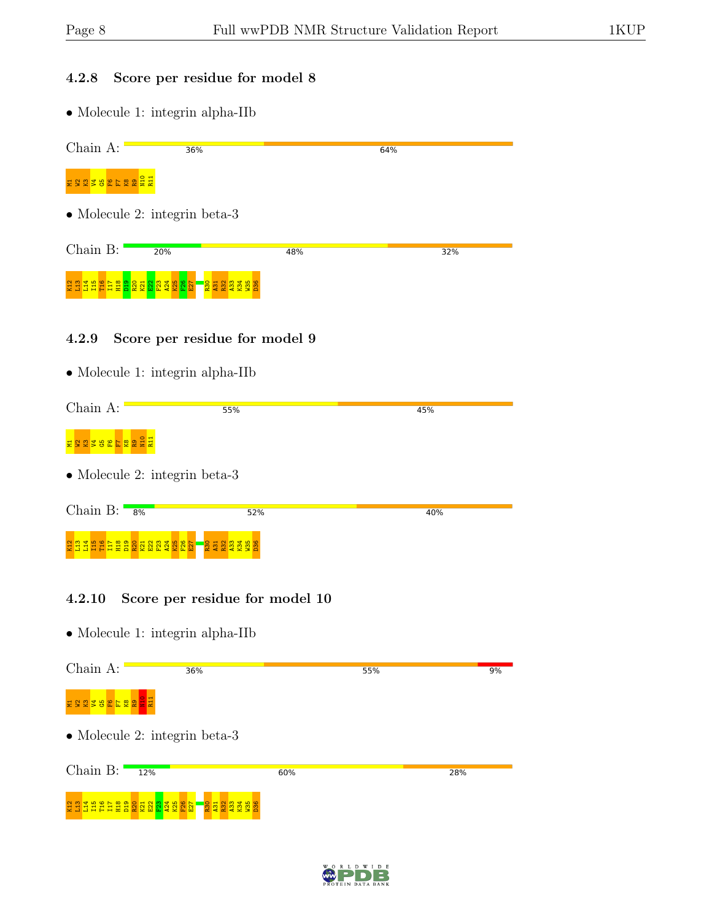### 4.2.8 Score per residue for model 8

• Molecule 1: integrin alpha-IIb

| Chain A:                                                                                                                                                                                                                       | 36%                                                                       |     | 64% |
|--------------------------------------------------------------------------------------------------------------------------------------------------------------------------------------------------------------------------------|---------------------------------------------------------------------------|-----|-----|
| <b>SEREE REEL</b>                                                                                                                                                                                                              |                                                                           |     |     |
| • Molecule 2: integrin beta-3                                                                                                                                                                                                  |                                                                           |     |     |
| Chain B:                                                                                                                                                                                                                       | 20%                                                                       | 48% | 32% |
| Control Control Control Control Control Control Control Control Control Control Control Control Control Control Control Control Control Control Control Control Control Control Control Control Control Control Control Contro | 2002345                                                                   |     |     |
| 4.2.9                                                                                                                                                                                                                          | Score per residue for model 9<br>$\bullet$ Molecule 1: integrin alpha-IIb |     |     |
| Chain A:                                                                                                                                                                                                                       | 55%                                                                       |     | 45% |
| ora<br><b>England</b>                                                                                                                                                                                                          |                                                                           |     |     |
| $\bullet$ Molecule 2: integrin beta-3                                                                                                                                                                                          |                                                                           |     |     |
| Chain B:<br>8%                                                                                                                                                                                                                 | 52%                                                                       |     | 40% |
| CEEEEEEEEEEEEEEEE                                                                                                                                                                                                              | <b>BERGER</b><br>BERGER                                                   |     |     |

#### 4.2.10 Score per residue for model 10

| Chain A:             | 36%                                                                             |     | 55% | 9%  |
|----------------------|---------------------------------------------------------------------------------|-----|-----|-----|
| ES 3 2 8 6 7 8 9 2 1 |                                                                                 |     |     |     |
|                      | • Molecule 2: integrin beta-3                                                   |     |     |     |
| Chain B:             | 12%                                                                             | 60% |     | 28% |
|                      | RELEEEEERREE ER<br><b>R31</b><br>231<br>R32<br>A <sub>33</sub><br>$\frac{1}{3}$ |     |     |     |

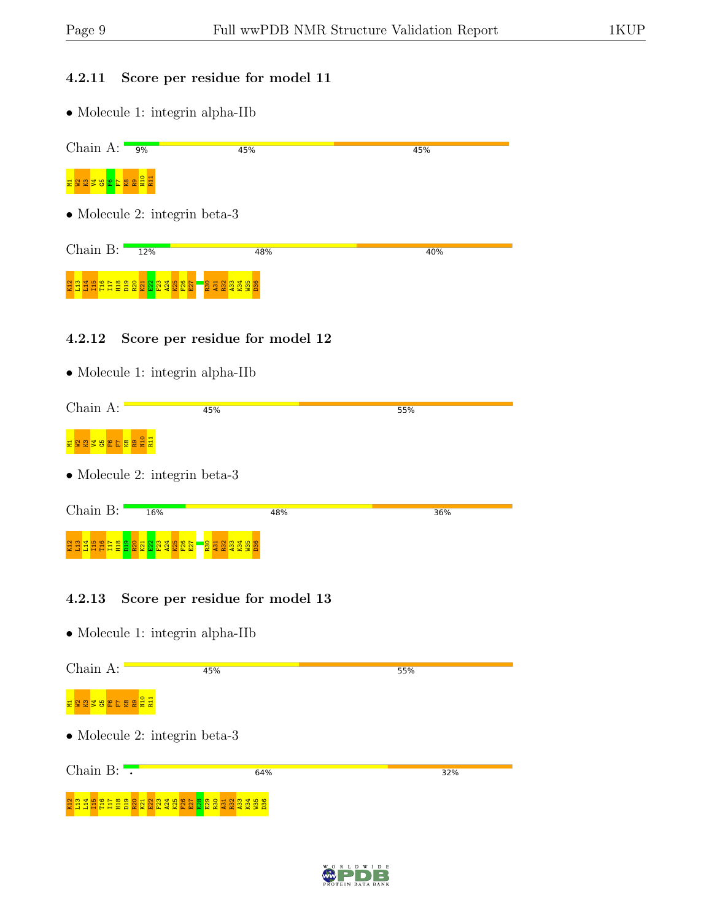#### 4.2.11 Score per residue for model 11

• Molecule 1: integrin alpha-IIb

| Chain A: $\frac{9\%}{9\%}$ | 45%                                      |     | 45%     |  |  |  |
|----------------------------|------------------------------------------|-----|---------|--|--|--|
| <b>HASTER BELLE</b>        |                                          |     |         |  |  |  |
|                            | • Molecule 2: integrin beta-3            |     |         |  |  |  |
| Chain B:                   | 12%                                      | 48% | 40%     |  |  |  |
|                            | <b>22223322</b>                          |     |         |  |  |  |
| 4.2.12                     | Score per residue for model 12           |     |         |  |  |  |
|                            | $\bullet$ Molecule 1: integrin alpha-IIb |     |         |  |  |  |
| Choin A.                   | $- - -$                                  |     | $- - -$ |  |  |  |

| Chain A: | 45%                                                            |     | 55% |  |
|----------|----------------------------------------------------------------|-----|-----|--|
|          |                                                                |     |     |  |
|          | • Molecule 2: integrin beta-3                                  |     |     |  |
|          |                                                                |     |     |  |
| Chain B: | 16%                                                            | 48% | 36% |  |
|          |                                                                |     |     |  |
|          | CONTECTES CONSIDER<br>ang <mark>18</mark> ma <mark>ra</mark> n |     |     |  |

#### 4.2.13 Score per residue for model 13

| Chain A:                                              | 45%                                 | 55% |
|-------------------------------------------------------|-------------------------------------|-----|
| ERGAREESSEE                                           |                                     |     |
| • Molecule 2: integrin beta-3                         |                                     |     |
| Chain B: $\cdot$                                      | 64%                                 | 32% |
| <b>EHEAR ERRY ERRY EN BARBARY</b><br>$\frac{14}{115}$ | $\frac{8}{36}$<br><b>K34</b><br>M35 |     |

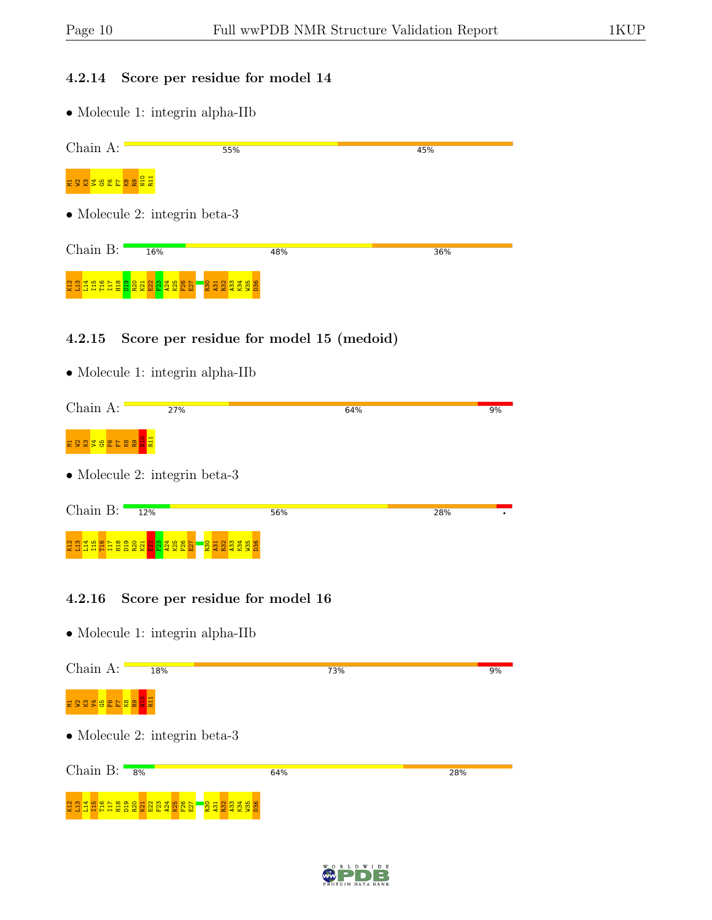#### 4.2.14 Score per residue for model 14

• Molecule 1: integrin alpha-IIb

| Chain A:                     | 55%                                   |     | 45% |
|------------------------------|---------------------------------------|-----|-----|
| ESZZBEFZZEZ                  |                                       |     |     |
|                              | $\bullet$ Molecule 2: integrin beta-3 |     |     |
| Chain B:                     | 16%                                   | 48% | 36% |
| <b>EREEFEREERE EN EREEFE</b> | <b>2222222</b><br>22222               |     |     |

#### 4.2.15 Score per residue for model 15 (medoid)

• Molecule 1: integrin alpha-IIb

| Chain A:               | 27%                             | 64% |     | 9% |
|------------------------|---------------------------------|-----|-----|----|
| ESTREE SA              |                                 |     |     |    |
|                        | • Molecule 2: integrin beta-3   |     |     |    |
| Chain $B:$<br>12%      |                                 | 56% | 28% |    |
| <u>효명 사용 등 등 등 중 중</u> | <b>238827</b><br><b>REE REE</b> |     |     |    |

#### 4.2.16 Score per residue for model 16



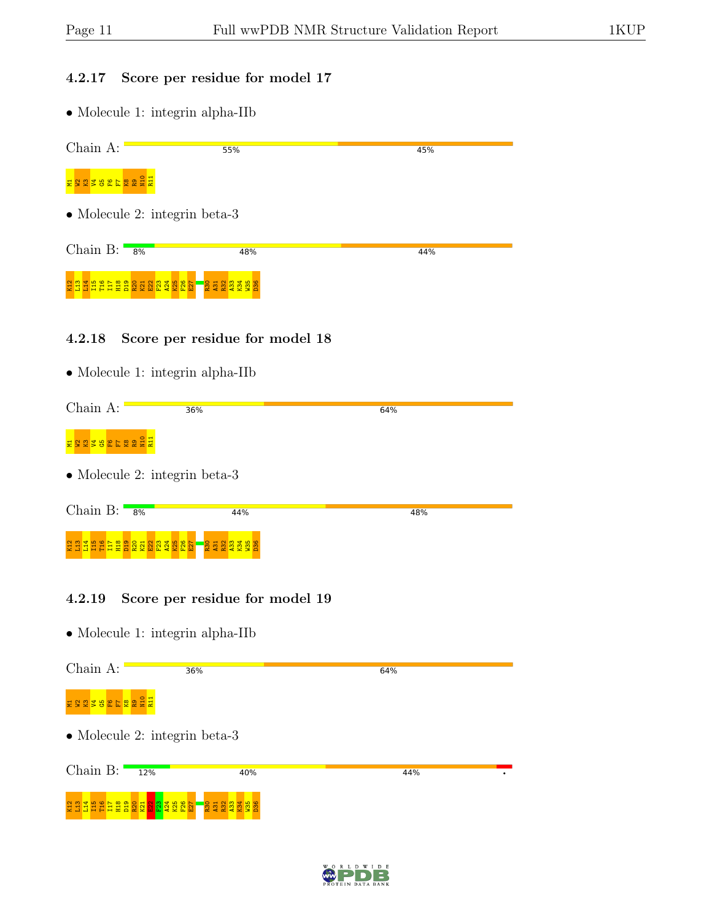#### 4.2.17 Score per residue for model 17

• Molecule 1: integrin alpha-IIb

| Chain A:                 | 55%                                   | 45% |
|--------------------------|---------------------------------------|-----|
| ERSTBEL ERREE            |                                       |     |
|                          | $\bullet$ Molecule 2: integrin beta-3 |     |
| Chain $B:$               | 8%<br>48%                             | 44% |
|                          |                                       |     |
| <b>GREEFIESS SGREESE</b> | <b>RERESE</b>                         |     |
|                          |                                       |     |

#### 4.2.18 Score per residue for model 18

• Molecule 1: integrin alpha-IIb

| Chain A:         | 36%                                                                                                                                                                                                                          | 64% |
|------------------|------------------------------------------------------------------------------------------------------------------------------------------------------------------------------------------------------------------------------|-----|
| ESEPEFEREE       |                                                                                                                                                                                                                              |     |
|                  | • Molecule 2: integrin beta-3                                                                                                                                                                                                |     |
| Chain $B:$<br>8% | 44%                                                                                                                                                                                                                          | 48% |
|                  | $23.3$ The stage stage stage stage stage stage stage stage stage stage stage stage stage stage stage stage stage stage stage stage stage stage stage stage stage stage stage stage stage stage stage stage stage stage stage |     |

#### 4.2.19 Score per residue for model 19

| Chain A:      | 36%                           |                                                 | 64% |  |
|---------------|-------------------------------|-------------------------------------------------|-----|--|
| EBBEERBEER    |                               |                                                 |     |  |
|               | • Molecule 2: integrin beta-3 |                                                 |     |  |
| Chain $B:$    | 12%                           | 40%                                             | 44% |  |
| $\frac{1}{2}$ | <b>EEEEERR RRAKEE</b>         | <b>R30</b><br>A31<br><b>R32</b><br>$\mathbb{E}$ |     |  |

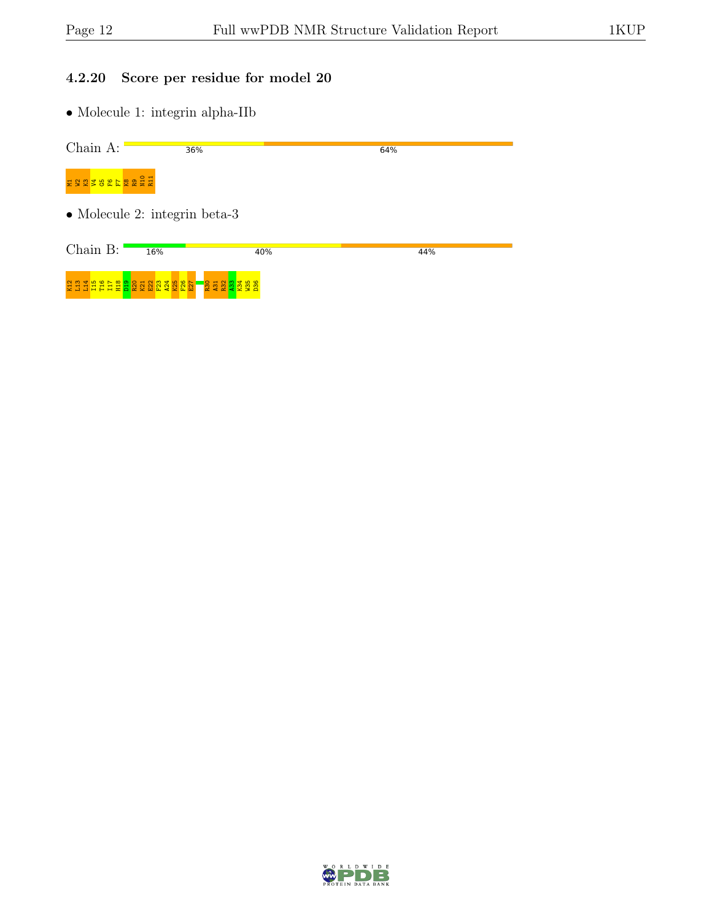#### 4.2.20 Score per residue for model 20

| Chain A:        | 36%                                   |                          | 64% |  |
|-----------------|---------------------------------------|--------------------------|-----|--|
| ESESSELESSE     |                                       |                          |     |  |
|                 | $\bullet$ Molecule 2: integrin beta-3 |                          |     |  |
| Chain B:        | 16%                                   | 40%                      | 44% |  |
| sa a a sa sa sa | 모 있<br>호<br>2<br>- 읿 C 잋 앛            | R30<br>A31<br>R32<br>A33 |     |  |

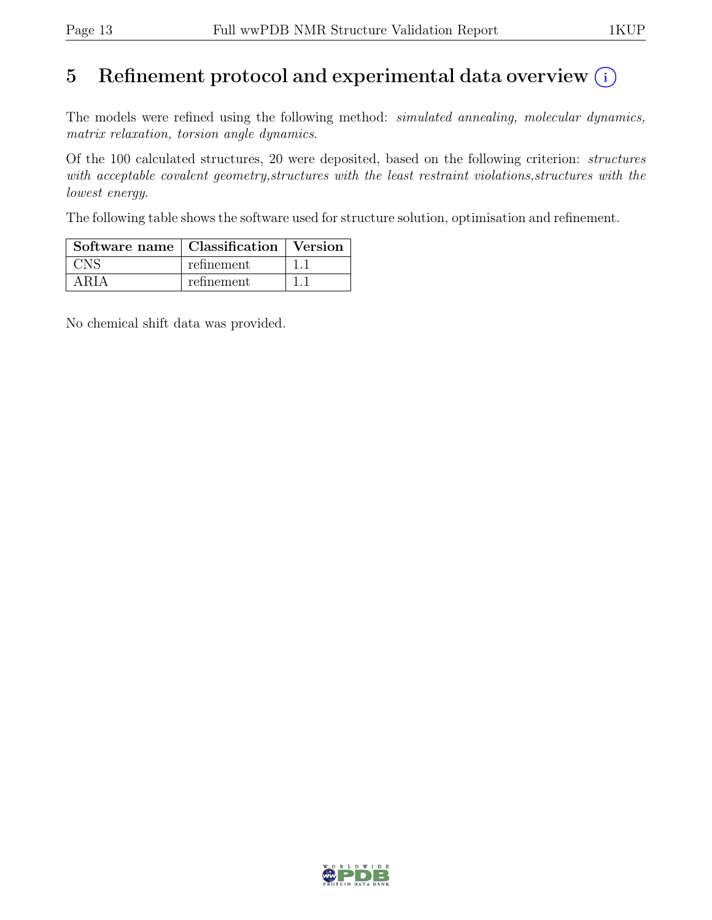## 5 Refinement protocol and experimental data overview  $(i)$

The models were refined using the following method: *simulated annealing, molecular dynamics,* matrix relaxation, torsion angle dynamics.

Of the 100 calculated structures, 20 were deposited, based on the following criterion: structures with acceptable covalent geometry, structures with the least restraint violations, structures with the lowest energy.

The following table shows the software used for structure solution, optimisation and refinement.

| Software name   Classification   Version |            |  |  |
|------------------------------------------|------------|--|--|
|                                          | refinement |  |  |
| ARIA                                     | refinement |  |  |

No chemical shift data was provided.

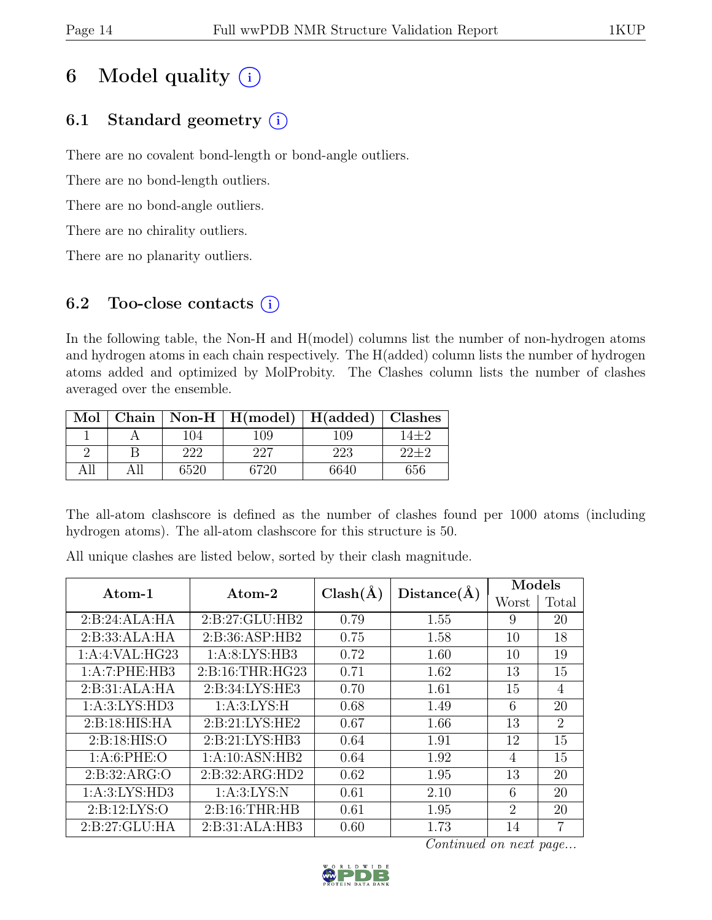## 6 Model quality  $(i)$

## 6.1 Standard geometry  $(i)$

There are no covalent bond-length or bond-angle outliers.

There are no bond-length outliers.

There are no bond-angle outliers.

There are no chirality outliers.

There are no planarity outliers.

## 6.2 Too-close contacts  $(i)$

In the following table, the Non-H and H(model) columns list the number of non-hydrogen atoms and hydrogen atoms in each chain respectively. The H(added) column lists the number of hydrogen atoms added and optimized by MolProbity. The Clashes column lists the number of clashes averaged over the ensemble.

| Mol |      | Chain   Non-H   $H(model)$   $H(added)$   Clashes |      |      |
|-----|------|---------------------------------------------------|------|------|
|     | 104  | 109                                               | 109  | 14+2 |
|     | 222  | 227                                               | 223  |      |
|     | 6520 | 6720                                              | 6640 | 656  |

The all-atom clashscore is defined as the number of clashes found per 1000 atoms (including hydrogen atoms). The all-atom clashscore for this structure is 50.

All unique clashes are listed below, sorted by their clash magnitude.

| $\rm{Atom}\textrm{-}1$ | $\rm{Atom}\text{-}2$ | $Clash(\AA)$ | Distance(A) | Models                      |                |
|------------------------|----------------------|--------------|-------------|-----------------------------|----------------|
|                        |                      |              |             | Worst                       | Total          |
| 2:B:24:ALA:HA          | 2:B:27:GLU:HB2       | 0.79         | 1.55        | 9                           | 20             |
| 2:B:33:ALA:HA          | 2:B:36:ASP:HB2       | 0.75         | 1.58        | 10                          | 18             |
| 1:A:4:VAL:HG23         | 1: A:8: LYS: HB3     | 0.72         | 1.60        | 10                          | 19             |
| 1:A:7:PHE:HB3          | 2: B:16: THR: HG23   | 0.71         | 1.62        | 13                          | 15             |
| 2:B:31:ALA:HA          | 2:B:34:LYS:HE3       | 0.70         | 1.61        | 15                          | 4              |
| 1: A:3: LYS: HD3       | 1: A:3: LYS:H        | 0.68         | 1.49        | 6                           | 20             |
| 2: B: 18: HIS: HA      | 2: B:21: LYS: HE2    | 0.67         | 1.66        | 13                          | $\overline{2}$ |
| 2: B: 18: HIS: O       | 2: B:21: LYS: HB3    | 0.64         | 1.91        | 12                          | 15             |
| 1: A:6: PHE:O          | 1:A:10:ASN:HB2       | 0.64         | 1.92        | 4                           | 15             |
| 2: B: 32: ARG: O       | 2:B:32:ARG:HD2       | 0.62         | 1.95        | 13                          | 20             |
| 1: A:3: LYS: HD3       | 1: A:3: LYS:N        | 0.61         | 2.10        | 6                           | 20             |
| 2: B: 12: LYS: O       | 2: B: 16: THR: HB    | 0.61         | 1.95        | $\mathcal{D}_{\mathcal{L}}$ | 20             |
| 2:B:27:GLU:HA          | 2:B:31:ALA:HB3       | 0.60         | 1.73        | 14                          | 7              |

Continued on next page...

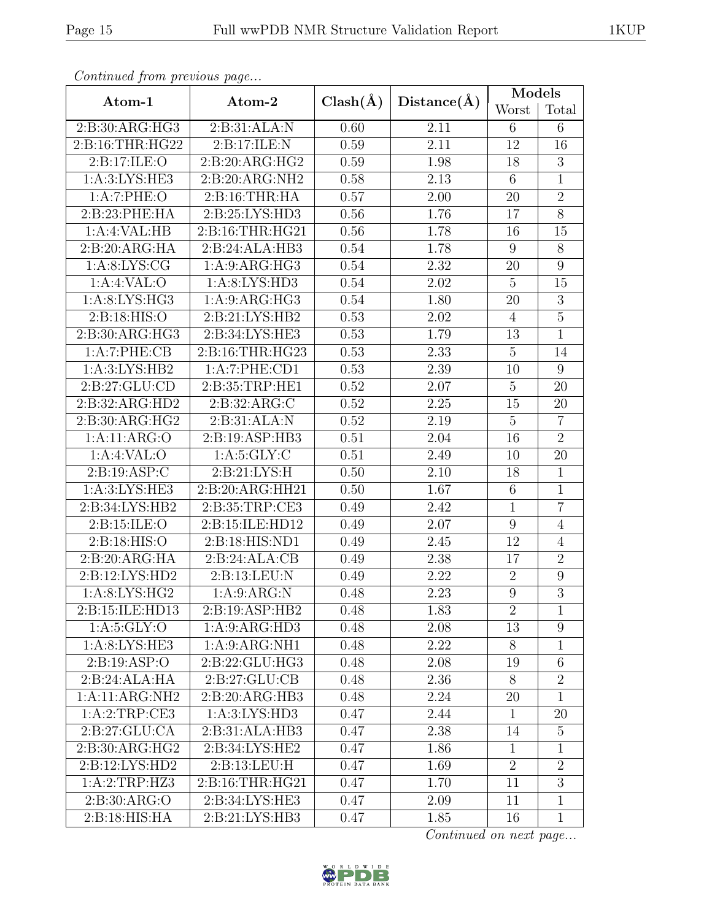| Continuea from previous page       |                    |              |             | $\text{Models}$  |                  |
|------------------------------------|--------------------|--------------|-------------|------------------|------------------|
| Atom-1                             | Atom-2             | $Clash(\AA)$ | Distance(A) | Worst            | Total            |
| 2:B:30:ARG:HG3                     | 2:B:31:ALA:N       | 0.60         | 2.11        | 6                | 6                |
| 2:B:16:THR:HG22                    | 2:B:17:ILE:N       | 0.59         | 2.11        | 12               | 16               |
| 2: B: 17: ILE: O                   | 2:B:20:ARG:HG2     | 0.59         | 1.98        | 18               | $\boldsymbol{3}$ |
| 1: A:3: LYS: HE3                   | 2:B:20:ARG:NH2     | 0.58         | 2.13        | $6\phantom{.}6$  | $\overline{1}$   |
| 1:A:7:PHE:O                        | 2: B:16:THR:HA     | 0.57         | 2.00        | 20               | $\overline{2}$   |
| 2:B:23:PHE:HA                      | 2: B: 25: LYS: HD3 | 0.56         | 1.76        | 17               | $\overline{8}$   |
| 1:A:4:VAL:HB                       | 2: B:16: THR: HG21 | 0.56         | 1.78        | 16               | 15               |
| 2:B:20:ARG:HA                      | 2:B:24:ALA:HB3     | 0.54         | 1.78        | $\boldsymbol{9}$ | $8\,$            |
| 1: A:8: LYS: CG                    | 1: A:9: ARG:HG3    | 0.54         | 2.32        | 20               | $\overline{9}$   |
| 1: A:4: VAL:O                      | 1: A:8: LYS: HD3   | 0.54         | 2.02        | $\overline{5}$   | 15               |
| 1: A:8: LYS: HG3                   | 1: A:9: ARG:HG3    | 0.54         | 1.80        | 20               | $\overline{3}$   |
| 2: B: 18: HIS: O<br>2:B:21:LYS:HB2 |                    | 0.53         | 2.02        | $\overline{4}$   | $\overline{5}$   |
| 2:B:30:ARG:HG3                     | 2:B:34:LYS:HE3     | 0.53         | 1.79        | 13               | $\mathbf{1}$     |
| 1:A:7:PHE:CB                       | 2:B:16:THR:HG23    | 0.53         | 2.33        | $\overline{5}$   | 14               |
| 1: A:3: LYS: HB2                   | 1:A:7:PHE:CD1      | 0.53         | 2.39        | 10               | 9                |
| 2:B:27:GLU:CD                      | 2:B:35:TRP:HE1     | 0.52         | 2.07        | $\mathbf 5$      | 20               |
| 2:B:32:ARG:HD2                     | 2:B:32:ARG:C       | 0.52         | $2.25\,$    | 15               | 20               |
| 2:B:30:ARG:HG2                     | 2:B:31:ALA:N       | 0.52         | 2.19        | $\overline{5}$   | $\overline{7}$   |
| 2:B:19:ASP:HB3<br>1:A:11:ARG:O     |                    | 0.51         | 2.04        | 16               | $\overline{2}$   |
| 1:A:4:VAL:                         | 1: A:5: GLY: C     | 0.51         | 2.49        | 10               | 20               |
| 2: B: 19: ASP: C                   | 2:B:21:LYS:H       | 0.50         | 2.10        | 18               | $\overline{1}$   |
| 1: A:3: LYS: HE3                   | 2:B:20:ARG:HH21    | 0.50         | 1.67        | 6                | $\mathbf{1}$     |
| 2:B:34:LYS:HB2                     | 2:B:35:TRP:CE3     | 0.49         | 2.42        | $\mathbf{1}$     | $\overline{7}$   |
| 2: B: 15: ILE: O                   | 2:B:15:ILE:HD12    | 0.49         | 2.07        | 9                | $\overline{4}$   |
| 2: B:18: HIS:O<br>2:B:18:HIS:ND1   |                    | 0.49         | 2.45        | 12               | $\overline{4}$   |
| 2:B:20:ARG:HA                      | 2:B:24:ALA:CB      | 0.49         | 2.38        | 17               | $\overline{2}$   |
| 2:B:12:LYS:HD2                     | 2:B:13:LEU:N       | 0.49         | 2.22        | $\overline{2}$   | $9\phantom{.0}$  |
| 1: A:8: LYS: HG2                   | 1: A:9: ARG: N     | 0.48         | 2.23        | $\overline{9}$   | $\overline{3}$   |
| 2:B:15:ILE:HD13                    | 2:B:19:ASP:HB2     | 0.48         | 1.83        | 2                | $\mathbf{1}$     |
| 1: A:5: GLY:O                      | 1:A:9:ARG:HD3      | 0.48         | 2.08        | 13               | $9\phantom{.0}$  |
| 1: A:8: LYS: HE3                   | 1: A:9: ARG: NH1   | 0.48         | 2.22        | 8                | $\mathbf{1}$     |
| 2:B:19:ASP:O                       | 2:B:22:GLU:HG3     | 0.48         | 2.08        | 19               | $6\phantom{.}$   |
| 2:B:24:ALA:HA                      | 2: B:27: GLU:CB    | 0.48         | 2.36        | 8                | $\overline{2}$   |
| 1:A:11:ARG:NH2                     | 2:B:20:ARG:HB3     | 0.48         | 2.24        | 20               | $\mathbf{1}$     |
| 1:A:2:TRP:CE3                      | 1: A:3: LYS: HD3   | 0.47         | 2.44        | $\mathbf{1}$     | 20               |
| 2:B:27:GLU:CA                      | 2:B:31:ALA:HB3     | 0.47         | 2.38        | 14               | $\overline{5}$   |
| 2: B:30: ARG:HG2                   | 2:B:34:LYS:HE2     | 0.47         | 1.86        | $\mathbf{1}$     | $\mathbf{1}$     |
| 2:B:12:LYS:HD2                     | 2:B:13:LEU:H       | 0.47         | 1.69        | $\overline{2}$   | $\overline{2}$   |
| 1:A:2:TRP:HZ3                      | 2:B:16:THR:HG21    | 0.47         | 1.70        | 11               | $\overline{3}$   |
| 2:B:30:ARG:O                       | 2:B:34:LYS:HE3     | 0.47         | 2.09        | 11               | $\overline{1}$   |
| 2:B:18:HIS:HA                      | 2:B:21:LYS:HB3     | 0.47         | 1.85        | 16               | $\mathbf{1}$     |

Continued from previous page.

Continued on next page...

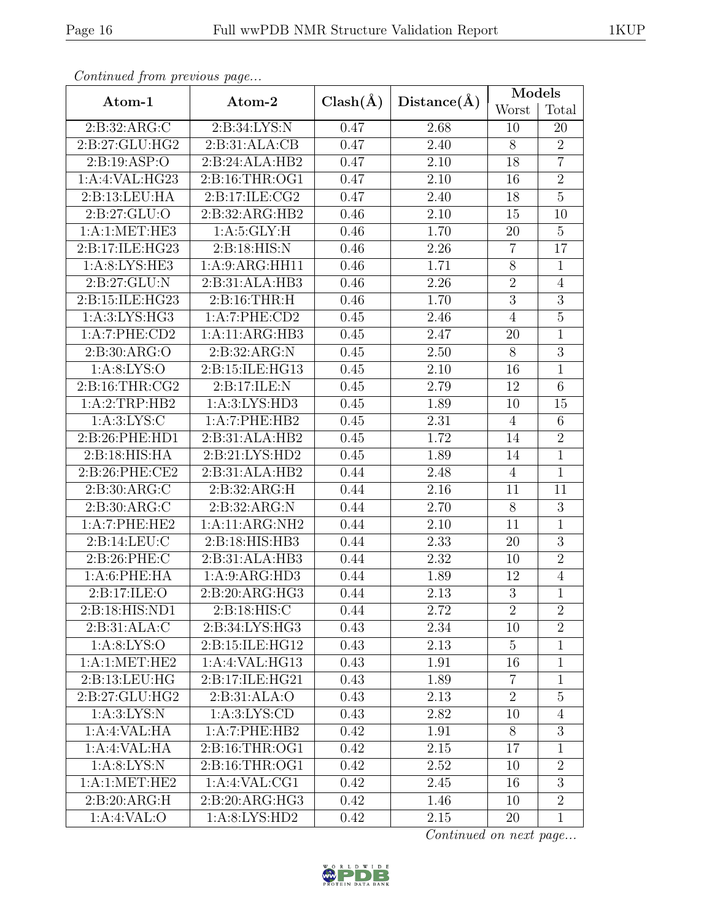| ×<br>۰. |
|---------|
|---------|

| Continuea from previous page      |                    |              |                   | $\text{Models}$ |                |
|-----------------------------------|--------------------|--------------|-------------------|-----------------|----------------|
| Atom-1                            | Atom-2             | $Clash(\AA)$ | Distance(A)       | Worst           | Total          |
| 2: B: 32: ARG: C                  | 2:B:34:LYS:N       | 0.47         | 2.68              | 10              | 20             |
| 2: B:27: GLU:HG2                  | 2:B:31:ALA:CB      | 0.47         | 2.40              | $8\,$           | $\overline{2}$ |
| 2: B: 19: ASP: O                  | 2:B:24:ALA:HB2     | 0.47         | 2.10              | 18              | $\overline{7}$ |
| 1:A:4:VAL:HG23                    | 2: B: 16: THR: OG1 | 0.47         | 2.10              | 16              | $\overline{2}$ |
| 2:B:13:LEU:HA                     | 2:B:17:ILE:CG2     | 0.47         | 2.40              | 18              | $\overline{5}$ |
| 2: B:27: GLU:O                    | 2:B:32:ARG:HB2     | 0.46         | 2.10              | 15              | 10             |
| 1:A:1:MET:HE3                     | 1: A:5: GLY: H     | 0.46         | 1.70              | 20              | $\overline{5}$ |
| 2:B:17:ILE:HG23                   | 2:B:18:HIS:N       | 0.46         | 2.26              | $\overline{7}$  | 17             |
| 1: A:8: LYS: HE3                  | 1:A:9:ARG:HH11     | 0.46         | 1.71              | $8\,$           | $\mathbf{1}$   |
| 2:B:27:GLU:N                      | 2:B:31:ALA:HB3     | 0.46         | 2.26              | $\overline{2}$  | $\overline{4}$ |
| 2:B:15:ILE:HG23                   | 2: B: 16: THR: H   |              | 1.70              | $\overline{3}$  | $\overline{3}$ |
| 1: A:3: LYS: HG3<br>1:A:7:PHE:CD2 |                    | 0.45         | 2.46              | $\overline{4}$  | $\overline{5}$ |
| 1:A:7:PHE:CD2                     | 1:A:11:ARG:HB3     |              | 2.47              | 20              | $\mathbf{1}$   |
| 2: B:30: ARG:O                    | 2:B:32:ARG:N       | 0.45         | 2.50              | 8               | $\overline{3}$ |
| 1: A:8: LYS:O                     | 2:B:15:ILE:HG13    | 0.45         | 2.10              | 16              | $\mathbf{1}$   |
| 2: B:16: THR: CG2                 | 2:Bi17:ILE:N       | 0.45         | 2.79              | 12              | 6              |
| 1:A:2:TRP:HB2                     | 1: A:3: LYS: HD3   | 0.45         | 1.89              | 10              | 15             |
| 1: A:3: LYS:C                     | 1:A:7:PHE:HB2      | 0.45         | 2.31              | $\overline{4}$  | $6\phantom{.}$ |
| 2:B:31:ALA:HB2<br>2:B:26:PHE:HD1  |                    | 0.45         | 1.72              | 14              | $\overline{2}$ |
| 2: B: 18: HIS: HA                 | 2:B:21:LYS:HD2     | 0.45         | 1.89              | 14              | $\mathbf{1}$   |
| 2:B:26:PHE:CE2                    | 2:B:31:ALA:HB2     | 0.44         | 2.48              | $\overline{4}$  | $\overline{1}$ |
| 2: B:30: ARG: C                   | 2:B:32:ARG:H       | 0.44         | 2.16              | 11              | 11             |
| 2: B:30: ARG:C                    | 2:B:32:ARG:N       | 0.44         | 2.70              | $\overline{8}$  | $\overline{3}$ |
| 1:A:7:PHE:HE2                     | 1:A:11:ARG:NH2     | 0.44         | 2.10              | 11              | $\mathbf{1}$   |
| 2: B: 14: LEU: C                  | 2:B:18:HIS:HB3     | 0.44         | $\overline{2.33}$ | 20              | $\overline{3}$ |
| 2:B:26:PHE:C                      | 2:B:31:ALA:HB3     | 0.44         | 2.32              | 10              | $\overline{2}$ |
| 1: A:6: PHE: HA                   | 1:A:9:ARG:HD3      | 0.44         | 1.89              | 12              | $\overline{4}$ |
| 2:B:17:ILE:O                      | 2:B:20:ARG:HG3     | 0.44         | 2.13              | $\overline{3}$  | $\overline{1}$ |
| 2:B:18:HIS:ND1                    | 2: B:18: HIS: C    | 0.44         | 2.72              | $\overline{2}$  | $\overline{2}$ |
| 2:B:31:ALA:C                      | 2:B:34:LYS:HG3     | 0.43         | 2.34              | 10              | $\overline{2}$ |
| 1: A:8: LYS:O                     | 2: B:15: ILE: HG12 | 0.43         | 2.13              | $\overline{5}$  | $\mathbf{1}$   |
| 1:A:1:MET:HE2                     | 1:A:4:VAL:HG13     | 0.43         | 1.91              | 16              | $\mathbf{1}$   |
| 2:B:13:LEU:HG                     | 2:B:17:ILE:HG21    | 0.43         | 1.89              | $\overline{7}$  | $\mathbf{1}$   |
| 2:B:27:GLU:HG2                    | 2:B:31:ALA:O       | 0.43         | 2.13              | $\overline{2}$  | $\overline{5}$ |
| 1: A:3: LYS: N                    | 1: A:3: LYS: CD    | 0.43         | 2.82              | 10              | $\overline{4}$ |
| 1:A:4:VAL:HA                      | 1:A:7:PHE:HB2      | 0.42         | 1.91              | 8               | 3              |
| 1:A:4:VAL:HA                      | 2:B:16:THR:OG1     | 0.42         | 2.15              | 17              | $\mathbf{1}$   |
| 1: A:8: LYS: N                    | 2:B:16:THR:OG1     | 0.42         | $2.52\,$          | 10              | $\overline{2}$ |
| 1: A:1: MET:HE2                   | 1:A:4:VAL:CG1      | 0.42         | 2.45              | 16              | 3              |
| 2:B:20:ARG:H                      | 2:B:20:ARG:HG3     | 0.42         | 1.46              | 10              | $\overline{2}$ |
| 1:A:8:LYS:HD2<br>1:A:4:VAL:O      |                    | 0.42         | 2.15              | 20              | $\mathbf{1}$   |

Continued from previous page.

Continued on next page...

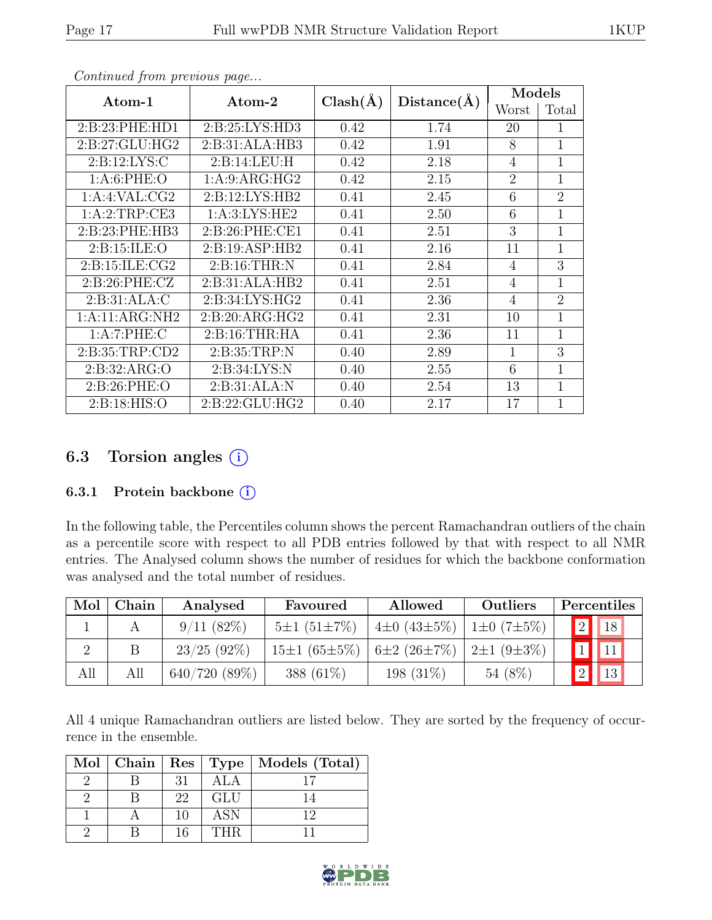| Continued from previous page |                    |              |             |                |                |  |
|------------------------------|--------------------|--------------|-------------|----------------|----------------|--|
| Atom-1                       | Atom-2             | $Clash(\AA)$ | Distance(A) | Models         |                |  |
|                              |                    |              | Worst       | Total          |                |  |
| 2: B:23: PHE:HD1             | 2: B:25: LYS:HD3   | 0.42         | 1.74        | 20             |                |  |
| 2: B:27: GLU: HG2            | 2:B:31:ALA:HB3     | 0.42         | 1.91        | 8              | 1              |  |
| 2: B: 12: LYS: C             | 2:B:14:LEU:H       | 0.42         | 2.18        | 4              | 1              |  |
| 1: A:6: PHE:O                | 1: A:9: ARG:HG2    | 0.42         | 2.15        | $\overline{2}$ | 1              |  |
| 1:A:4:VAL:CG2                | 2: B: 12: LYS: HB2 | 0.41         | 2.45        | 6              | $\overline{2}$ |  |
| 1:A:2:TRP:CE3                | 1: A:3: LYS: HE2   | 0.41         | 2.50        | 6              |                |  |
| 2:B:23:PHE:HB3               | 2: B:26: PHE:CE1   | 0.41         | 2.51        | 3              |                |  |
| 2: B: 15: ILE: O             | 2:B:19:ASP:HB2     | 0.41         | 2.16        | 11             |                |  |
| 2: B: 15: ILE: CG2           | 2: B:16:THR:N      | 0.41         | 2.84        | 4              | 3              |  |
| 2: B:26: PHE: CZ             | 2:B:31:ALA:HB2     | 0.41         | 2.51        | 4              |                |  |

2:B:31:ALA:C | 2:B:34:LYS:HG2 | 0.41 | 2.36 | 4 | 2 1:A:11:ARG:NH2 2:B:20:ARG:HG2 0.41 2.31 10 1 1:A:7:PHE:C 2:B:16:THR:HA 0.41 2.36 11 1 2:B:35:TRP:CD2 2:B:35:TRP:N 0.40 2.89 1 3 2:B:32:ARG:O | 2:B:34:LYS:N | 0.40 | 2.55 | 6 | 1 2:B:26:PHE:O | 2:B:31:ALA:N | 0.40 | 2.54 | 13 | 1 2:B:18:HIS:O | 2:B:22:GLU:HG2 | 0.40 | 2.17 | 17 | 1

## 6.3 Torsion angles (i)

#### 6.3.1 Protein backbone  $(i)$

In the following table, the Percentiles column shows the percent Ramachandran outliers of the chain as a percentile score with respect to all PDB entries followed by that with respect to all NMR entries. The Analysed column shows the number of residues for which the backbone conformation was analysed and the total number of residues.

| Mol | Chain | Analysed       | Favoured           | Allowed                            | Outliers         | Percentiles                    |
|-----|-------|----------------|--------------------|------------------------------------|------------------|--------------------------------|
|     |       | $9/11(82\%)$   | $5\pm1(51\pm7\%)$  | $4\pm0$ (43 $\pm5\%$ )             | $1\pm0(7\pm5\%)$ | $\vert 2 \vert \vert 18 \vert$ |
|     |       | $23/25$ (92\%) | $15\pm1(65\pm5\%)$ | $6\pm2(26\pm7\%)$ $2\pm1(9\pm3\%)$ |                  | $\vert$ 11                     |
| All | All   | 640/720(89%)   | 388 (61\%)         | 198 $(31\%)$                       | 54 (8%)          | $\parallel$ 13                 |

All 4 unique Ramachandran outliers are listed below. They are sorted by the frequency of occurrence in the ensemble.

| $Mol$   Chain |    |            | Res   Type   Models (Total) |
|---------------|----|------------|-----------------------------|
|               | 31 | ALA        |                             |
|               | 22 | <b>GLU</b> |                             |
|               | 10 | <b>ASN</b> | 19                          |
|               | 16 | THR        |                             |

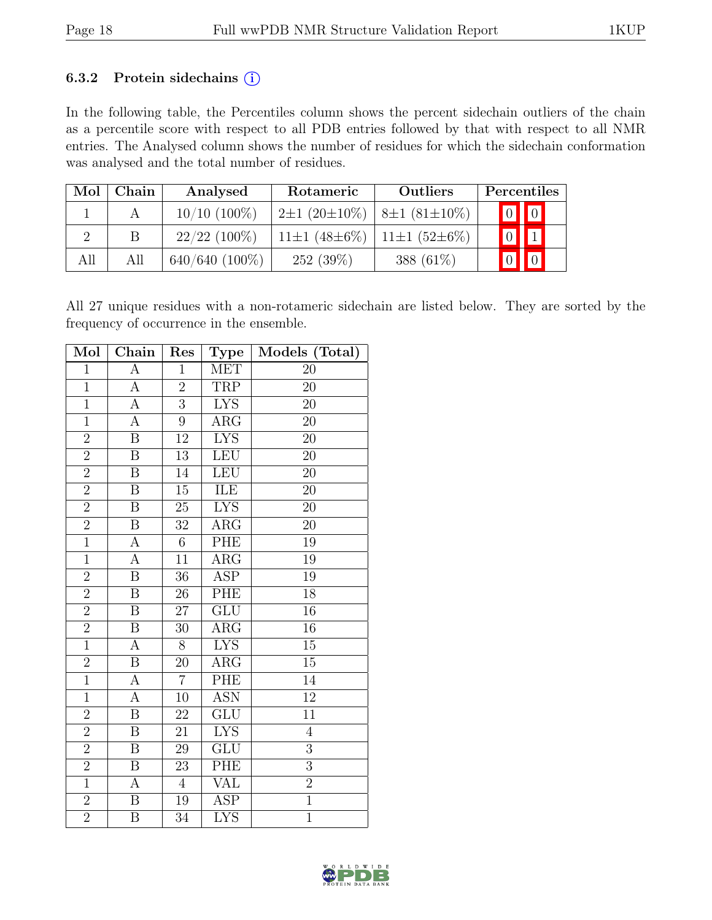#### 6.3.2 Protein sidechains  $(i)$

In the following table, the Percentiles column shows the percent sidechain outliers of the chain as a percentile score with respect to all PDB entries followed by that with respect to all NMR entries. The Analysed column shows the number of residues for which the sidechain conformation was analysed and the total number of residues.

| Mol | Chain | Analysed          | Rotameric                                          | <b>Outliers</b> | Percentiles               |
|-----|-------|-------------------|----------------------------------------------------|-----------------|---------------------------|
|     |       | $10/10$ (100%)    | $2\pm1$ (20 $\pm10\%$ )   8 $\pm1$ (81 $\pm10\%$ ) |                 | $\boxed{0}$ $\boxed{0}$   |
|     | B     | $22/22$ (100%)    | $11\pm1$ (48 $\pm6\%$ )   11 $\pm1$ (52 $\pm6\%$ ) |                 | $\boxed{0}$ $\boxed{1}$   |
| All | All   | $640/640 (100\%)$ | 252(39%)                                           | 388 $(61\%)$    | $\sqrt{0}$<br>$\boxed{0}$ |

All 27 unique residues with a non-rotameric sidechain are listed below. They are sorted by the frequency of occurrence in the ensemble.

| Mol            | Chain                   | Res              | <b>Type</b>             | Models (Total)  |
|----------------|-------------------------|------------------|-------------------------|-----------------|
| $\overline{1}$ | $\overline{A}$          | $\mathbf{1}$     | MET                     | 20              |
| $\overline{1}$ | A                       | $\overline{2}$   | <b>TRP</b>              | $\overline{20}$ |
| $\mathbf{1}$   | $\boldsymbol{A}$        | $\overline{3}$   | <b>LYS</b>              | 20              |
| $\mathbf{1}$   | $\overline{A}$          | $\boldsymbol{9}$ | $\overline{\text{ARG}}$ | 20              |
| $\overline{2}$ | $\overline{\mathrm{B}}$ | $\overline{12}$  | <b>LYS</b>              | 20              |
| $\overline{2}$ | $\overline{B}$          | $13\,$           | LEU                     | $20\,$          |
| $\overline{2}$ | $\overline{\mathbf{B}}$ | 14               | LEU                     | $\overline{20}$ |
| $\overline{2}$ | $\boldsymbol{B}$        | $15\,$           | ILE                     | 20              |
| $\overline{2}$ | $\, {\bf B}$            | $25\,$           | <b>LYS</b>              | 20              |
| $\overline{2}$ | $\overline{B}$          | 32               | $\rm{ARG}$              | $\overline{20}$ |
| $\overline{1}$ | $\overline{A}$          | $6\phantom{.}$   | PHE                     | 19              |
| $\overline{1}$ | $\overline{A}$          | $\overline{11}$  | $\overline{\text{ARG}}$ | $19\,$          |
| $\overline{2}$ | $\overline{B}$          | 36               | <b>ASP</b>              | $19\,$          |
| $\overline{2}$ | $\overline{\mathrm{B}}$ | 26               | PHE                     | $\overline{18}$ |
| $\overline{2}$ | $\, {\bf B}$            | 27               | GLU                     | 16              |
| $\overline{2}$ | $\, {\bf B}$            | 30               | $\rm{ARG}$              | 16              |
| $\overline{1}$ | $\overline{A}$          | $\overline{8}$   | <b>LYS</b>              | $\overline{15}$ |
| $\overline{2}$ | $\overline{B}$          | 20               | $\overline{\text{ARG}}$ | $\overline{15}$ |
| $\overline{1}$ | $\boldsymbol{A}$        | $\overline{7}$   | PHE                     | 14              |
| $\mathbf{1}$   | A                       | 10               | <b>ASN</b>              | 12              |
| $\overline{2}$ | $\overline{B}$          | 22               | $\widetilde{{\rm GLU}}$ | $\overline{11}$ |
| $\overline{2}$ | $\overline{B}$          | 21               | <b>LYS</b>              | $\overline{4}$  |
| $\overline{2}$ | $\, {\bf B}$            | 29               | GLU                     | $\overline{3}$  |
| $\overline{2}$ | $\overline{\mathrm{B}}$ | $\overline{23}$  | PHE                     | $\overline{3}$  |
| $\overline{1}$ | $\boldsymbol{\rm{A}}$   | $\overline{4}$   | $\overline{\text{VAL}}$ | $\overline{2}$  |
| $\overline{2}$ | $\overline{\mathbf{B}}$ | 19               | <b>ASP</b>              | $\overline{1}$  |
| $\overline{2}$ | B                       | 34               | <b>LYS</b>              | $\overline{1}$  |

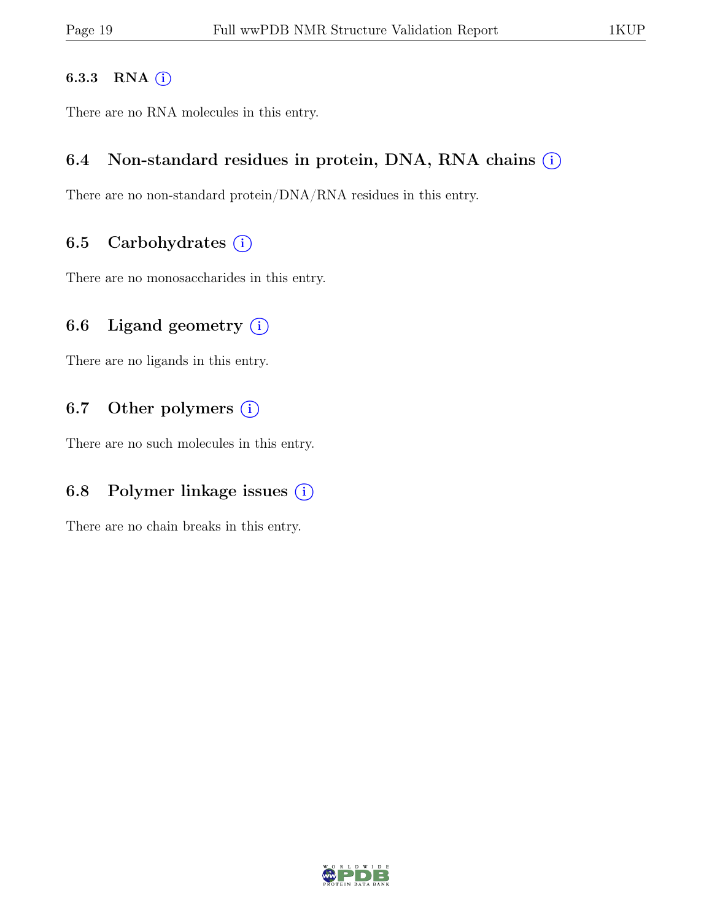#### 6.3.3 RNA  $(i)$

There are no RNA molecules in this entry.

### 6.4 Non-standard residues in protein, DNA, RNA chains  $(i)$

There are no non-standard protein/DNA/RNA residues in this entry.

### 6.5 Carbohydrates  $(i)$

There are no monosaccharides in this entry.

## 6.6 Ligand geometry  $(i)$

There are no ligands in this entry.

## 6.7 Other polymers  $(i)$

There are no such molecules in this entry.

## 6.8 Polymer linkage issues  $(i)$

There are no chain breaks in this entry.